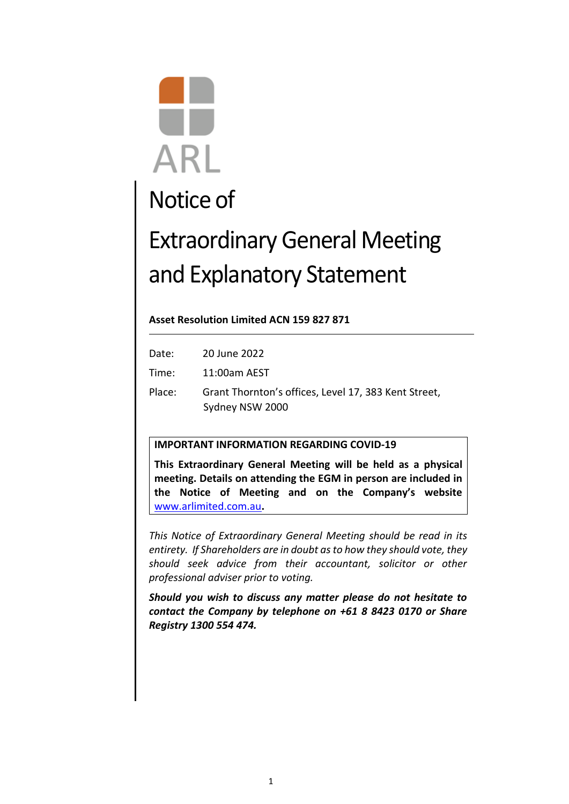# **ARL**

# Notice of

# Extraordinary General Meeting and Explanatory Statement

# **Asset Resolution Limited ACN 159 827 871**

| Date:  | 20 June 2022                                         |
|--------|------------------------------------------------------|
| Time:  | $11:00$ am AEST                                      |
| Place: | Grant Thornton's offices, Level 17, 383 Kent Street, |
|        | Sydney NSW 2000                                      |

# **IMPORTANT INFORMATION REGARDING COVID-19**

**This Extraordinary General Meeting will be held as a physical meeting. Details on attending the EGM in person are included in the Notice of Meeting and on the Company's website**  [www.arlimited.com.au](http://www.arlimited.com.au/)**.** 

*This Notice of Extraordinary General Meeting should be read in its entirety. If Shareholders are in doubt as to how they should vote, they should seek advice from their accountant, solicitor or other professional adviser prior to voting.*

*Should you wish to discuss any matter please do not hesitate to contact the Company by telephone on +61 8 8423 0170 or Share Registry 1300 554 474.*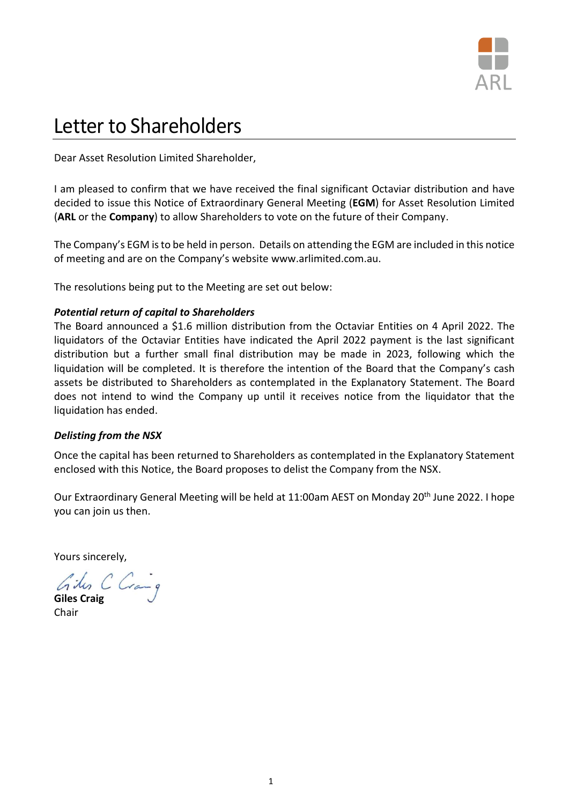

# Letter to Shareholders

Dear Asset Resolution Limited Shareholder,

I am pleased to confirm that we have received the final significant Octaviar distribution and have decided to issue this Notice of Extraordinary General Meeting (**EGM**) for Asset Resolution Limited (**ARL** or the **Company**) to allow Shareholders to vote on the future of their Company.

The Company's EGM is to be held in person. Details on attending the EGM are included in this notice of meeting and are on the Company's website [www.arlimited.com.au.](http://www.arlimited.com.au/)

The resolutions being put to the Meeting are set out below:

# *Potential return of capital to Shareholders*

The Board announced a \$1.6 million distribution from the Octaviar Entities on 4 April 2022. The liquidators of the Octaviar Entities have indicated the April 2022 payment is the last significant distribution but a further small final distribution may be made in 2023, following which the liquidation will be completed. It is therefore the intention of the Board that the Company's cash assets be distributed to Shareholders as contemplated in the Explanatory Statement. The Board does not intend to wind the Company up until it receives notice from the liquidator that the liquidation has ended.

# *Delisting from the NSX*

Once the capital has been returned to Shareholders as contemplated in the Explanatory Statement enclosed with this Notice, the Board proposes to delist the Company from the NSX.

Our Extraordinary General Meeting will be held at 11:00am AEST on Monday 20<sup>th</sup> June 2022. I hope you can join us then.

Yours sincerely,

**Giles Craig**

Chair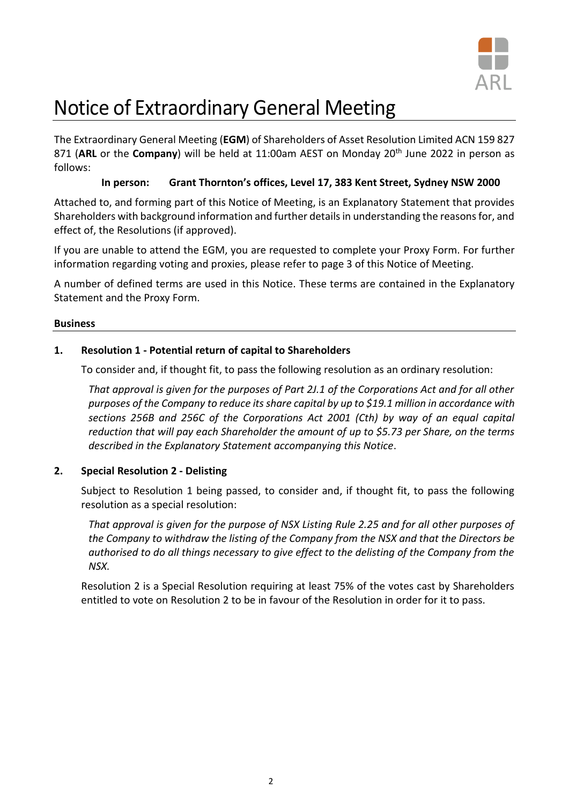

# Notice of Extraordinary General Meeting

The Extraordinary General Meeting (**EGM**) of Shareholders of Asset Resolution Limited ACN 159 827 871 (ARL or the Company) will be held at 11:00am AEST on Monday 20<sup>th</sup> June 2022 in person as follows:

# **In person: Grant Thornton's offices, Level 17, 383 Kent Street, Sydney NSW 2000**

Attached to, and forming part of this Notice of Meeting, is an Explanatory Statement that provides Shareholders with background information and further details in understanding the reasons for, and effect of, the Resolutions (if approved).

If you are unable to attend the EGM, you are requested to complete your Proxy Form. For further information regarding voting and proxies, please refer to page 3 of this Notice of Meeting.

A number of defined terms are used in this Notice. These terms are contained in the Explanatory Statement and the Proxy Form.

# **Business**

# **1. Resolution 1 - Potential return of capital to Shareholders**

To consider and, if thought fit, to pass the following resolution as an ordinary resolution:

*That approval is given for the purposes of Part 2J.1 of the Corporations Act and for all other purposes of the Company to reduce its share capital by up to \$19.1 million in accordance with sections 256B and 256C of the Corporations Act 2001 (Cth) by way of an equal capital reduction that will pay each Shareholder the amount of up to \$5.73 per Share, on the terms described in the Explanatory Statement accompanying this Notice*.

# **2. Special Resolution 2 - Delisting**

Subject to Resolution 1 being passed, to consider and, if thought fit, to pass the following resolution as a special resolution:

*That approval is given for the purpose of NSX Listing Rule 2.25 and for all other purposes of the Company to withdraw the listing of the Company from the NSX and that the Directors be authorised to do all things necessary to give effect to the delisting of the Company from the NSX.*

Resolution 2 is a Special Resolution requiring at least 75% of the votes cast by Shareholders entitled to vote on Resolution 2 to be in favour of the Resolution in order for it to pass.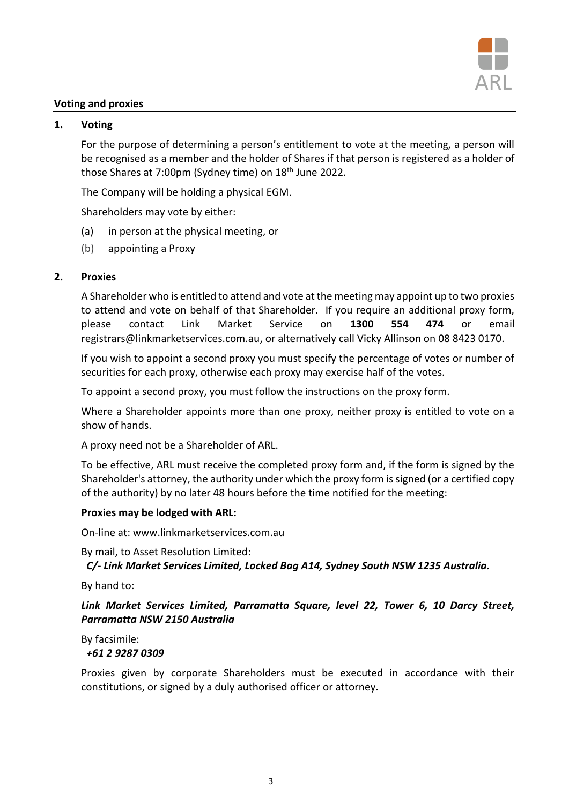

# **Voting and proxies**

# **1. Voting**

For the purpose of determining a person's entitlement to vote at the meeting, a person will be recognised as a member and the holder of Shares if that person is registered as a holder of those Shares at 7:00pm (Sydney time) on 18<sup>th</sup> June 2022.

The Company will be holding a physical EGM.

Shareholders may vote by either:

- (a) in person at the physical meeting, or
- (b) appointing a Proxy

# **2. Proxies**

A Shareholder who is entitled to attend and vote at the meeting may appoint up to two proxies to attend and vote on behalf of that Shareholder. If you require an additional proxy form, please contact Link Market Service on **1300 554 474** or email [registrars@linkmarketservices.com.au,](mailto:registrars@linkmarketservices.com.au) or alternatively call Vicky Allinson on 08 8423 0170.

If you wish to appoint a second proxy you must specify the percentage of votes or number of securities for each proxy, otherwise each proxy may exercise half of the votes.

To appoint a second proxy, you must follow the instructions on the proxy form.

Where a Shareholder appoints more than one proxy, neither proxy is entitled to vote on a show of hands.

A proxy need not be a Shareholder of ARL.

To be effective, ARL must receive the completed proxy form and, if the form is signed by the Shareholder's attorney, the authority under which the proxy form is signed (or a certified copy of the authority) by no later 48 hours before the time notified for the meeting:

# **Proxies may be lodged with ARL:**

On-line at: www.linkmarketservices.com.au

By mail, to Asset Resolution Limited: *C/- Link Market Services Limited, Locked Bag A14, Sydney South NSW 1235 Australia.*

By hand to:

*Link Market Services Limited, Parramatta Square, level 22, Tower 6, 10 Darcy Street, Parramatta NSW 2150 Australia*

By facsimile:

# *+61 2 9287 0309*

Proxies given by corporate Shareholders must be executed in accordance with their constitutions, or signed by a duly authorised officer or attorney.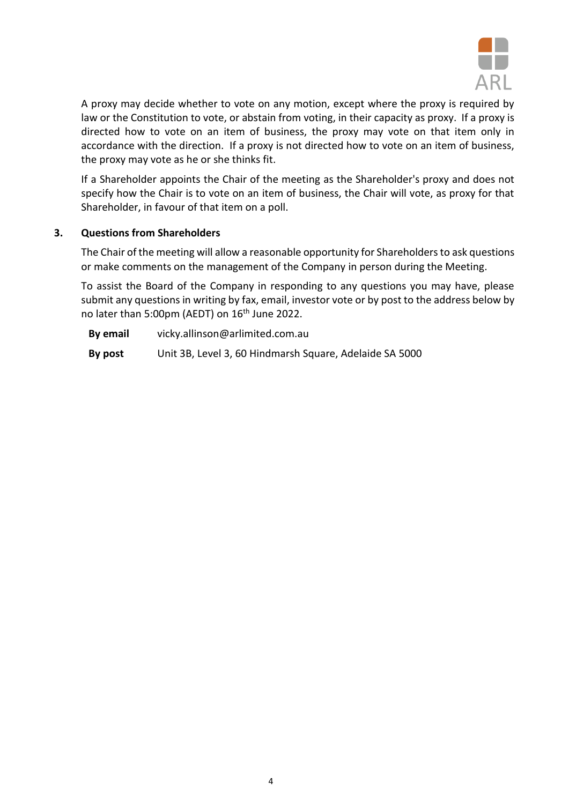

A proxy may decide whether to vote on any motion, except where the proxy is required by law or the Constitution to vote, or abstain from voting, in their capacity as proxy. If a proxy is directed how to vote on an item of business, the proxy may vote on that item only in accordance with the direction. If a proxy is not directed how to vote on an item of business, the proxy may vote as he or she thinks fit.

If a Shareholder appoints the Chair of the meeting as the Shareholder's proxy and does not specify how the Chair is to vote on an item of business, the Chair will vote, as proxy for that Shareholder, in favour of that item on a poll.

# **3. Questions from Shareholders**

The Chair of the meeting will allow a reasonable opportunity for Shareholders to ask questions or make comments on the management of the Company in person during the Meeting.

To assist the Board of the Company in responding to any questions you may have, please submit any questions in writing by fax, email, investor vote or by post to the address below by no later than 5:00pm (AEDT) on 16<sup>th</sup> June 2022.

**By email** vicky.allinson@arlimited.com.au **By post** Unit 3B, Level 3, 60 Hindmarsh Square, Adelaide SA 5000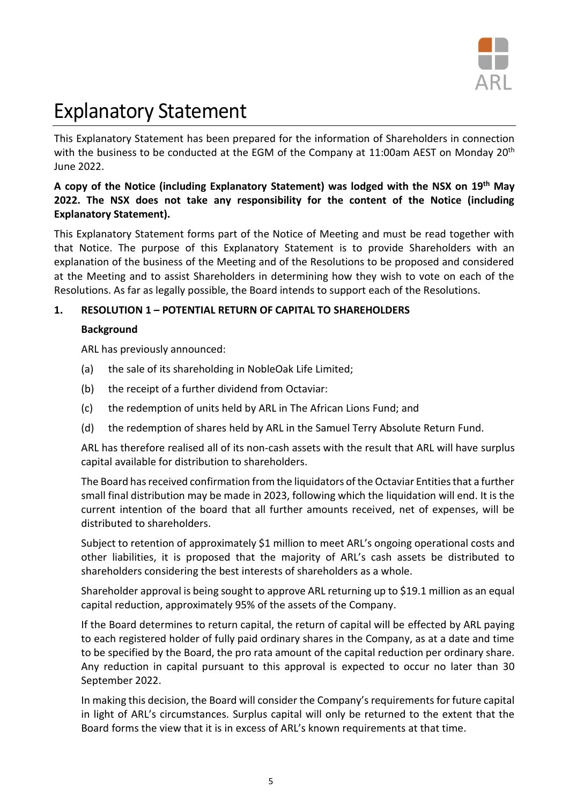

# Explanatory Statement

This Explanatory Statement has been prepared for the information of Shareholders in connection with the business to be conducted at the EGM of the Company at 11:00am AEST on Monday 20<sup>th</sup> June 2022.

# **A copy of the Notice (including Explanatory Statement) was lodged with the NSX on 19th May 2022. The NSX does not take any responsibility for the content of the Notice (including Explanatory Statement).**

This Explanatory Statement forms part of the Notice of Meeting and must be read together with that Notice. The purpose of this Explanatory Statement is to provide Shareholders with an explanation of the business of the Meeting and of the Resolutions to be proposed and considered at the Meeting and to assist Shareholders in determining how they wish to vote on each of the Resolutions. As far as legally possible, the Board intends to support each of the Resolutions.

# **1. RESOLUTION 1 – POTENTIAL RETURN OF CAPITAL TO SHAREHOLDERS**

# **Background**

ARL has previously announced:

- (a) the sale of its shareholding in NobleOak Life Limited;
- (b) the receipt of a further dividend from Octaviar:
- (c) the redemption of units held by ARL in The African Lions Fund; and
- (d) the redemption of shares held by ARL in the Samuel Terry Absolute Return Fund.

ARL has therefore realised all of its non-cash assets with the result that ARL will have surplus capital available for distribution to shareholders.

The Board has received confirmation from the liquidators of the Octaviar Entities that a further small final distribution may be made in 2023, following which the liquidation will end. It is the current intention of the board that all further amounts received, net of expenses, will be distributed to shareholders.

Subject to retention of approximately \$1 million to meet ARL's ongoing operational costs and other liabilities, it is proposed that the majority of ARL's cash assets be distributed to shareholders considering the best interests of shareholders as a whole.

Shareholder approval is being sought to approve ARL returning up to \$19.1 million as an equal capital reduction, approximately 95% of the assets of the Company.

If the Board determines to return capital, the return of capital will be effected by ARL paying to each registered holder of fully paid ordinary shares in the Company, as at a date and time to be specified by the Board, the pro rata amount of the capital reduction per ordinary share. Any reduction in capital pursuant to this approval is expected to occur no later than 30 September 2022.

In making this decision, the Board will consider the Company's requirements for future capital in light of ARL's circumstances. Surplus capital will only be returned to the extent that the Board forms the view that it is in excess of ARL's known requirements at that time.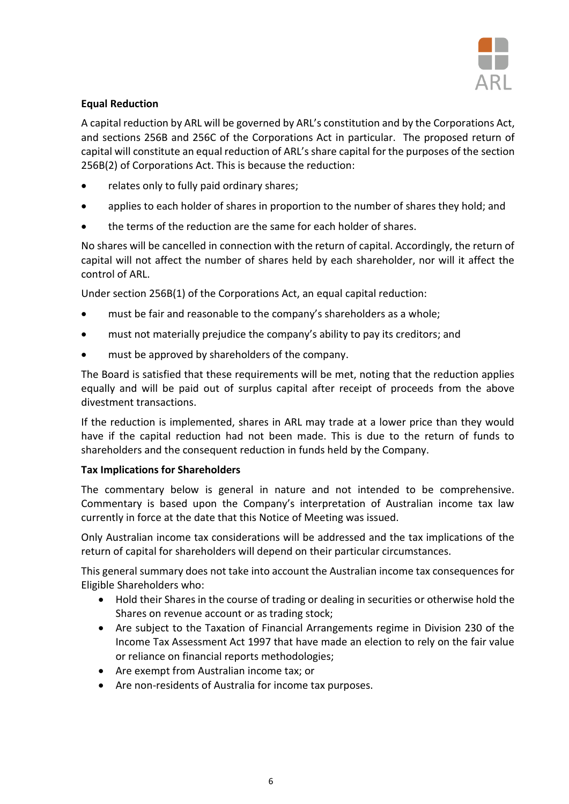

# **Equal Reduction**

A capital reduction by ARL will be governed by ARL's constitution and by the Corporations Act, and sections 256B and 256C of the Corporations Act in particular. The proposed return of capital will constitute an equal reduction of ARL's share capital for the purposes of the section 256B(2) of Corporations Act. This is because the reduction:

- relates only to fully paid ordinary shares;
- applies to each holder of shares in proportion to the number of shares they hold; and
- the terms of the reduction are the same for each holder of shares.

No shares will be cancelled in connection with the return of capital. Accordingly, the return of capital will not affect the number of shares held by each shareholder, nor will it affect the control of ARL.

Under section 256B(1) of the Corporations Act, an equal capital reduction:

- must be fair and reasonable to the company's shareholders as a whole;
- must not materially prejudice the company's ability to pay its creditors; and
- must be approved by shareholders of the company.

The Board is satisfied that these requirements will be met, noting that the reduction applies equally and will be paid out of surplus capital after receipt of proceeds from the above divestment transactions.

If the reduction is implemented, shares in ARL may trade at a lower price than they would have if the capital reduction had not been made. This is due to the return of funds to shareholders and the consequent reduction in funds held by the Company.

# **Tax Implications for Shareholders**

The commentary below is general in nature and not intended to be comprehensive. Commentary is based upon the Company's interpretation of Australian income tax law currently in force at the date that this Notice of Meeting was issued.

Only Australian income tax considerations will be addressed and the tax implications of the return of capital for shareholders will depend on their particular circumstances.

This general summary does not take into account the Australian income tax consequences for Eligible Shareholders who:

- Hold their Shares in the course of trading or dealing in securities or otherwise hold the Shares on revenue account or as trading stock;
- Are subject to the Taxation of Financial Arrangements regime in Division 230 of the Income Tax Assessment Act 1997 that have made an election to rely on the fair value or reliance on financial reports methodologies;
- Are exempt from Australian income tax; or
- Are non-residents of Australia for income tax purposes.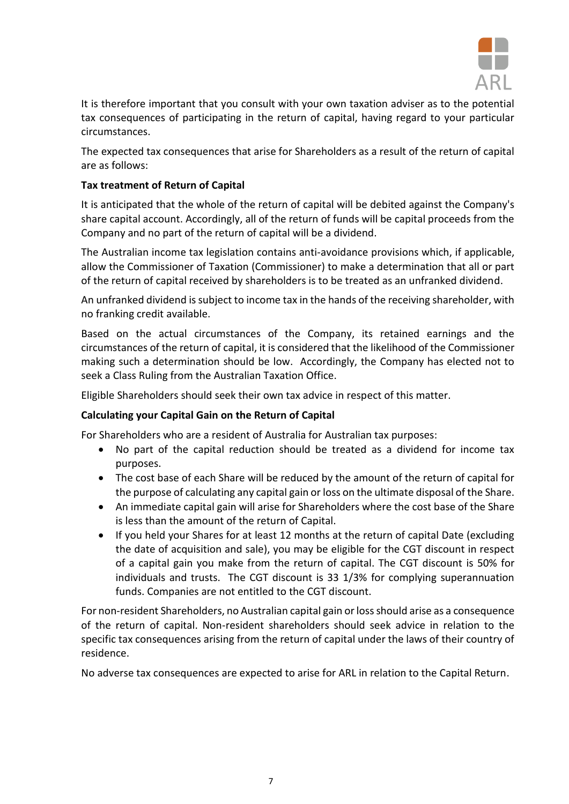

It is therefore important that you consult with your own taxation adviser as to the potential tax consequences of participating in the return of capital, having regard to your particular circumstances.

The expected tax consequences that arise for Shareholders as a result of the return of capital are as follows:

# **Tax treatment of Return of Capital**

It is anticipated that the whole of the return of capital will be debited against the Company's share capital account. Accordingly, all of the return of funds will be capital proceeds from the Company and no part of the return of capital will be a dividend.

The Australian income tax legislation contains anti-avoidance provisions which, if applicable, allow the Commissioner of Taxation (Commissioner) to make a determination that all or part of the return of capital received by shareholders is to be treated as an unfranked dividend.

An unfranked dividend is subject to income tax in the hands of the receiving shareholder, with no franking credit available.

Based on the actual circumstances of the Company, its retained earnings and the circumstances of the return of capital, it is considered that the likelihood of the Commissioner making such a determination should be low. Accordingly, the Company has elected not to seek a Class Ruling from the Australian Taxation Office.

Eligible Shareholders should seek their own tax advice in respect of this matter.

# **Calculating your Capital Gain on the Return of Capital**

For Shareholders who are a resident of Australia for Australian tax purposes:

- No part of the capital reduction should be treated as a dividend for income tax purposes.
- The cost base of each Share will be reduced by the amount of the return of capital for the purpose of calculating any capital gain or loss on the ultimate disposal of the Share.
- An immediate capital gain will arise for Shareholders where the cost base of the Share is less than the amount of the return of Capital.
- If you held your Shares for at least 12 months at the return of capital Date (excluding the date of acquisition and sale), you may be eligible for the CGT discount in respect of a capital gain you make from the return of capital. The CGT discount is 50% for individuals and trusts. The CGT discount is 33 1/3% for complying superannuation funds. Companies are not entitled to the CGT discount.

For non-resident Shareholders, no Australian capital gain or loss should arise as a consequence of the return of capital. Non-resident shareholders should seek advice in relation to the specific tax consequences arising from the return of capital under the laws of their country of residence.

No adverse tax consequences are expected to arise for ARL in relation to the Capital Return.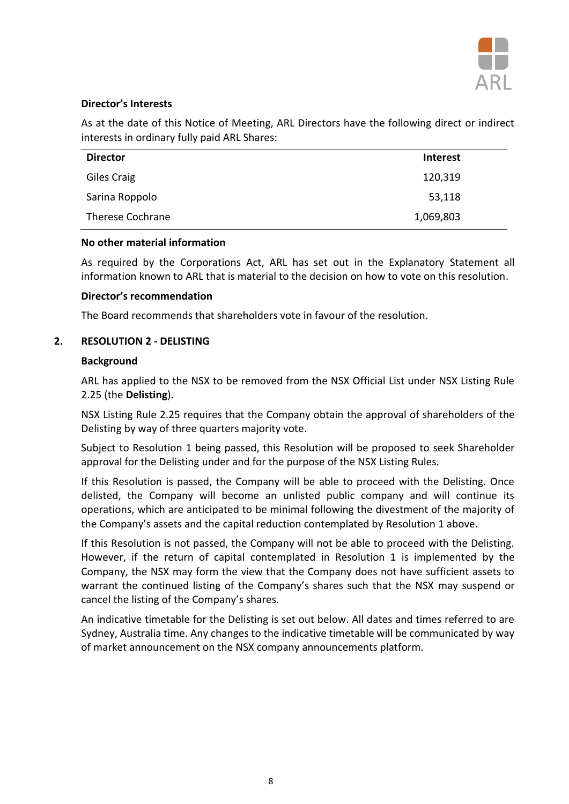

# **Director's Interests**

As at the date of this Notice of Meeting, ARL Directors have the following direct or indirect interests in ordinary fully paid ARL Shares:

| <b>Director</b>  | Interest  |  |
|------------------|-----------|--|
| Giles Craig      | 120,319   |  |
| Sarina Roppolo   | 53,118    |  |
| Therese Cochrane | 1,069,803 |  |

# **No other material information**

As required by the Corporations Act, ARL has set out in the Explanatory Statement all information known to ARL that is material to the decision on how to vote on this resolution.

### **Director's recommendation**

The Board recommends that shareholders vote in favour of the resolution.

# **2. RESOLUTION 2 - DELISTING**

### **Background**

ARL has applied to the NSX to be removed from the NSX Official List under NSX Listing Rule 2.25 (the **Delisting**).

NSX Listing Rule 2.25 requires that the Company obtain the approval of shareholders of the Delisting by way of three quarters majority vote.

Subject to Resolution 1 being passed, this Resolution will be proposed to seek Shareholder approval for the Delisting under and for the purpose of the NSX Listing Rules.

If this Resolution is passed, the Company will be able to proceed with the Delisting. Once delisted, the Company will become an unlisted public company and will continue its operations, which are anticipated to be minimal following the divestment of the majority of the Company's assets and the capital reduction contemplated by Resolution 1 above.

If this Resolution is not passed, the Company will not be able to proceed with the Delisting. However, if the return of capital contemplated in Resolution 1 is implemented by the Company, the NSX may form the view that the Company does not have sufficient assets to warrant the continued listing of the Company's shares such that the NSX may suspend or cancel the listing of the Company's shares.

An indicative timetable for the Delisting is set out below. All dates and times referred to are Sydney, Australia time. Any changes to the indicative timetable will be communicated by way of market announcement on the NSX company announcements platform.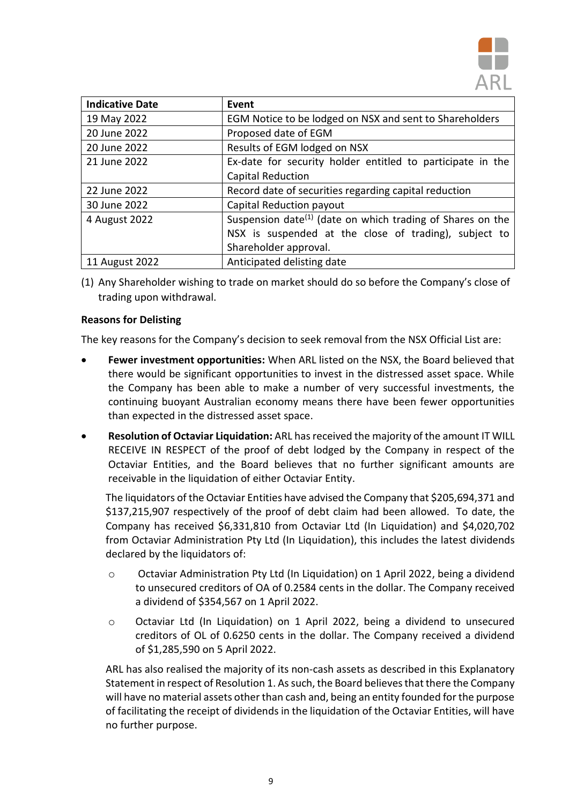

| <b>Indicative Date</b> | Event                                                                               |
|------------------------|-------------------------------------------------------------------------------------|
| 19 May 2022            | EGM Notice to be lodged on NSX and sent to Shareholders                             |
| 20 June 2022           | Proposed date of EGM                                                                |
| 20 June 2022           | Results of EGM lodged on NSX                                                        |
| 21 June 2022           | Ex-date for security holder entitled to participate in the                          |
|                        | <b>Capital Reduction</b>                                                            |
| 22 June 2022           | Record date of securities regarding capital reduction                               |
| 30 June 2022           | Capital Reduction payout                                                            |
| 4 August 2022          | Suspension date <sup><math>(1)</math></sup> (date on which trading of Shares on the |
|                        | NSX is suspended at the close of trading), subject to                               |
|                        | Shareholder approval.                                                               |
| 11 August 2022         | Anticipated delisting date                                                          |

(1) Any Shareholder wishing to trade on market should do so before the Company's close of trading upon withdrawal.

# **Reasons for Delisting**

The key reasons for the Company's decision to seek removal from the NSX Official List are:

- **Fewer investment opportunities:** When ARL listed on the NSX, the Board believed that there would be significant opportunities to invest in the distressed asset space. While the Company has been able to make a number of very successful investments, the continuing buoyant Australian economy means there have been fewer opportunities than expected in the distressed asset space.
- **Resolution of Octaviar Liquidation:** ARL hasreceived the majority of the amount IT WILL RECEIVE IN RESPECT of the proof of debt lodged by the Company in respect of the Octaviar Entities, and the Board believes that no further significant amounts are receivable in the liquidation of either Octaviar Entity.

The liquidators of the Octaviar Entities have advised the Company that \$205,694,371 and \$137,215,907 respectively of the proof of debt claim had been allowed. To date, the Company has received \$6,331,810 from Octaviar Ltd (In Liquidation) and \$4,020,702 from Octaviar Administration Pty Ltd (In Liquidation), this includes the latest dividends declared by the liquidators of:

- o Octaviar Administration Pty Ltd (In Liquidation) on 1 April 2022, being a dividend to unsecured creditors of OA of 0.2584 cents in the dollar. The Company received a dividend of \$354,567 on 1 April 2022.
- o Octaviar Ltd (In Liquidation) on 1 April 2022, being a dividend to unsecured creditors of OL of 0.6250 cents in the dollar. The Company received a dividend of \$1,285,590 on 5 April 2022.

ARL has also realised the majority of its non-cash assets as described in this Explanatory Statement in respect of Resolution 1. As such, the Board believes that there the Company will have no material assets other than cash and, being an entity founded for the purpose of facilitating the receipt of dividends in the liquidation of the Octaviar Entities, will have no further purpose.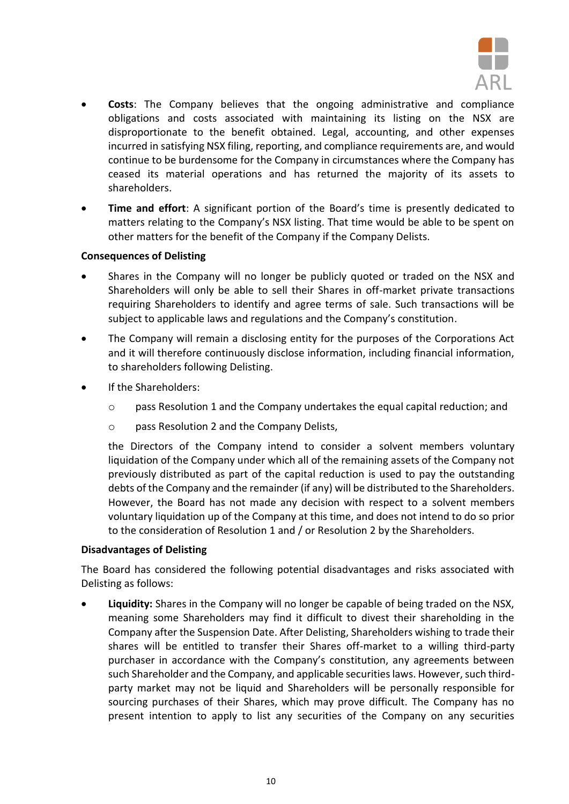

- **Costs**: The Company believes that the ongoing administrative and compliance obligations and costs associated with maintaining its listing on the NSX are disproportionate to the benefit obtained. Legal, accounting, and other expenses incurred in satisfying NSX filing, reporting, and compliance requirements are, and would continue to be burdensome for the Company in circumstances where the Company has ceased its material operations and has returned the majority of its assets to shareholders.
- **Time and effort**: A significant portion of the Board's time is presently dedicated to matters relating to the Company's NSX listing. That time would be able to be spent on other matters for the benefit of the Company if the Company Delists.

# **Consequences of Delisting**

- Shares in the Company will no longer be publicly quoted or traded on the NSX and Shareholders will only be able to sell their Shares in off-market private transactions requiring Shareholders to identify and agree terms of sale. Such transactions will be subject to applicable laws and regulations and the Company's constitution.
- The Company will remain a disclosing entity for the purposes of the Corporations Act and it will therefore continuously disclose information, including financial information, to shareholders following Delisting.
- If the Shareholders:
	- $\circ$  pass Resolution 1 and the Company undertakes the equal capital reduction; and
	- o pass Resolution 2 and the Company Delists,

the Directors of the Company intend to consider a solvent members voluntary liquidation of the Company under which all of the remaining assets of the Company not previously distributed as part of the capital reduction is used to pay the outstanding debts of the Company and the remainder (if any) will be distributed to the Shareholders. However, the Board has not made any decision with respect to a solvent members voluntary liquidation up of the Company at this time, and does not intend to do so prior to the consideration of Resolution 1 and / or Resolution 2 by the Shareholders.

# **Disadvantages of Delisting**

The Board has considered the following potential disadvantages and risks associated with Delisting as follows:

• **Liquidity:** Shares in the Company will no longer be capable of being traded on the NSX, meaning some Shareholders may find it difficult to divest their shareholding in the Company after the Suspension Date. After Delisting, Shareholders wishing to trade their shares will be entitled to transfer their Shares off-market to a willing third-party purchaser in accordance with the Company's constitution, any agreements between such Shareholder and the Company, and applicable securities laws. However, such thirdparty market may not be liquid and Shareholders will be personally responsible for sourcing purchases of their Shares, which may prove difficult. The Company has no present intention to apply to list any securities of the Company on any securities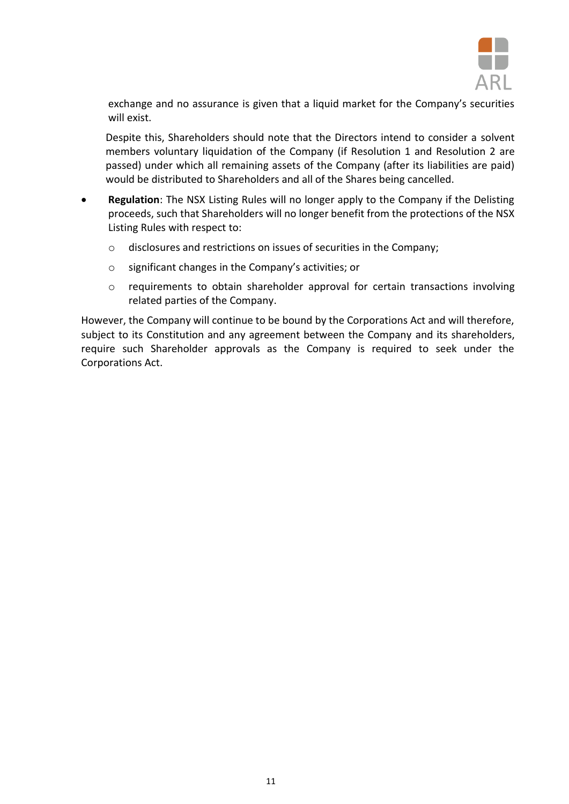

exchange and no assurance is given that a liquid market for the Company's securities will exist.

Despite this, Shareholders should note that the Directors intend to consider a solvent members voluntary liquidation of the Company (if Resolution 1 and Resolution 2 are passed) under which all remaining assets of the Company (after its liabilities are paid) would be distributed to Shareholders and all of the Shares being cancelled.

- **Regulation**: The NSX Listing Rules will no longer apply to the Company if the Delisting proceeds, such that Shareholders will no longer benefit from the protections of the NSX Listing Rules with respect to:
	- o disclosures and restrictions on issues of securities in the Company;
	- o significant changes in the Company's activities; or
	- o requirements to obtain shareholder approval for certain transactions involving related parties of the Company.

However, the Company will continue to be bound by the Corporations Act and will therefore, subject to its Constitution and any agreement between the Company and its shareholders, require such Shareholder approvals as the Company is required to seek under the Corporations Act.